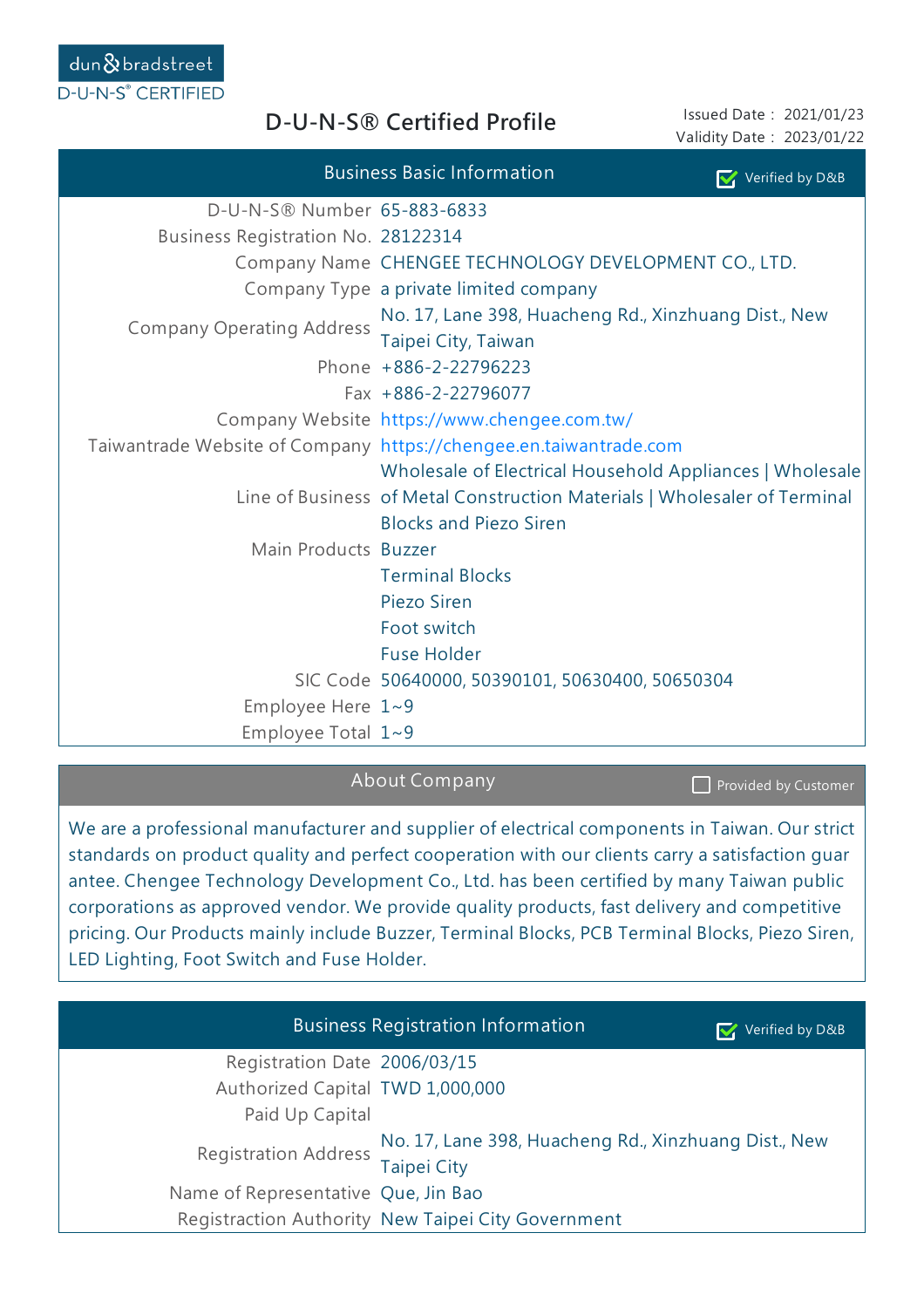**D-U-N-S® Certified Profile**

Issued Date: 2021/01/23 Validity Date: 2023/01/22

|                                    | <b>Business Basic Information</b>                                           | Verified by D&B |  |
|------------------------------------|-----------------------------------------------------------------------------|-----------------|--|
| D-U-N-S® Number 65-883-6833        |                                                                             |                 |  |
| Business Registration No. 28122314 |                                                                             |                 |  |
|                                    | Company Name CHENGEE TECHNOLOGY DEVELOPMENT CO., LTD.                       |                 |  |
|                                    | Company Type a private limited company                                      |                 |  |
| <b>Company Operating Address</b>   | No. 17, Lane 398, Huacheng Rd., Xinzhuang Dist., New<br>Taipei City, Taiwan |                 |  |
|                                    | Phone +886-2-22796223                                                       |                 |  |
|                                    | Fax +886-2-22796077                                                         |                 |  |
|                                    | Company Website https://www.chengee.com.tw/                                 |                 |  |
|                                    | Taiwantrade Website of Company https://chengee.en.taiwantrade.com           |                 |  |
|                                    | Wholesale of Electrical Household Appliances   Wholesale                    |                 |  |
|                                    | Line of Business of Metal Construction Materials   Wholesaler of Terminal   |                 |  |
|                                    | <b>Blocks and Piezo Siren</b>                                               |                 |  |
| Main Products Buzzer               |                                                                             |                 |  |
|                                    | <b>Terminal Blocks</b>                                                      |                 |  |
|                                    | Piezo Siren                                                                 |                 |  |
|                                    | Foot switch                                                                 |                 |  |
|                                    | <b>Fuse Holder</b>                                                          |                 |  |
|                                    | SIC Code 50640000, 50390101, 50630400, 50650304                             |                 |  |
| Employee Here $1~9$                |                                                                             |                 |  |
| Employee Total $1~9$               |                                                                             |                 |  |

About Company

Provided by Customer

We are a professional manufacturer and supplier of electrical components in Taiwan. Our strict standards on product quality and perfect cooperation with our clients carry a satisfaction guar antee. Chengee Technology Development Co., Ltd. has been certified by many Taiwan public corporations as approved vendor. We provide quality products, fast delivery and competitive pricing. Our Products mainly include Buzzer, Terminal Blocks, PCB Terminal Blocks, Piezo Siren, LED Lighting, Foot Switch and Fuse Holder.

|                                     | <b>Business Registration Information</b>             | Verified by D&B |
|-------------------------------------|------------------------------------------------------|-----------------|
| Registration Date 2006/03/15        |                                                      |                 |
| Authorized Capital TWD 1,000,000    |                                                      |                 |
| Paid Up Capital                     |                                                      |                 |
| Registration Address No. 277        | No. 17, Lane 398, Huacheng Rd., Xinzhuang Dist., New |                 |
|                                     |                                                      |                 |
| Name of Representative Que, Jin Bao |                                                      |                 |
|                                     | Registraction Authority New Taipei City Government   |                 |